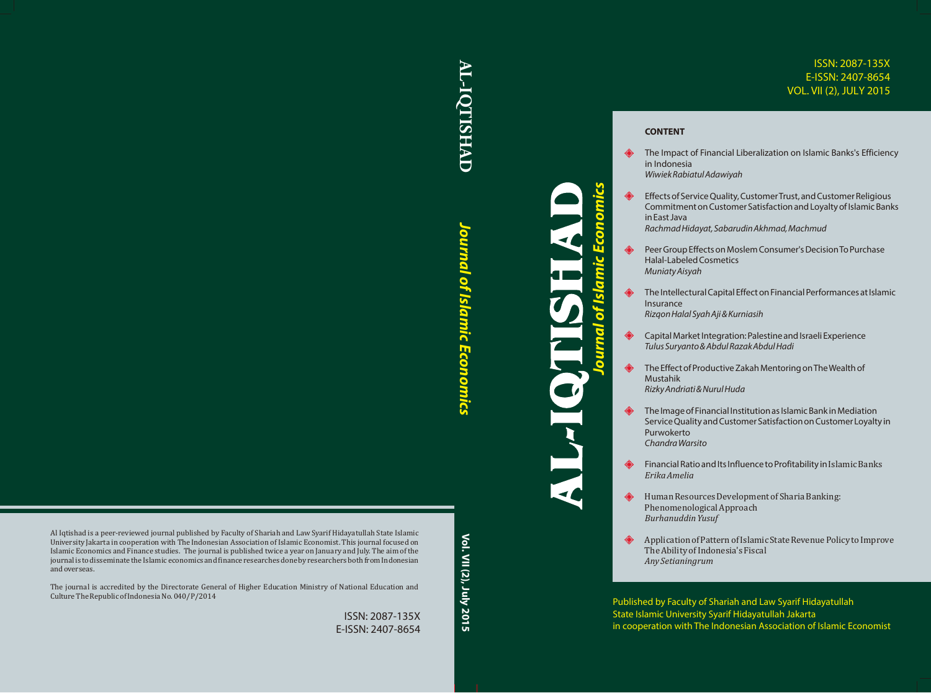# ISSN: 2087-135X E-ISSN: 2407-8654 VOL. VII (2), JULY 2015

# **AL-IQTISHAD**

**AL-IQTISHAD** Journal of Islamic Economics vol. VII (2), July 2015 *Journal of Islamic Economics* lournal of Islamic Economics

Vol. VII (2), July 2015

Al Iqtishad is a peer-reviewed journal published by Faculty of Shariah and Law Syarif Hidayatullah State Islamic University Jakarta in cooperation with The Indonesian Association of Islamic Economist. This journal focused on Islamic Economics and Finance studies. The journal is published twice a year on January and July. The aim of the journal is to disseminate the Islamic economics and finance researches done by researchers both from Indonesian and overseas.

The journal is accredited by the Directorate General of Higher Education Ministry of National Education and Culture The Republic of Indonesia No. 040/P/2014

> ISSN: 2087-135X E-ISSN: 2407-8654

# *Journal of Islamic Economics* ourna

# **CONTENT**

- The Impact of Financial Liberalization on Islamic Banks's Efficiency in Indonesia *Wiwiek Rabiatul Adawiyah*
- ₩ Effects of Service Quality, Customer Trust, and Customer Religious Commitment on Customer Satisfaction and Loyalty of Islamic Banks in East Java *Rachmad Hidayat, Sabarudin Akhmad, Machmud*
- Peer Group Effects on Moslem Consumer's Decision To Purchase Halal-Labeled Cosmetics *Muniaty Aisyah*
- ₩ The Intellectural Capital Effect on Financial Performances at Islamic Insurance *Rizqon Halal Syah Aji & Kurniasih*
- Capital Market Integration: Palestine and Israeli Experience *Tulus Suryanto & Abdul Razak Abdul Hadi*
- ₩ The Effect of Productive Zakah Mentoring on The Wealth of Mustahik *Rizky Andriati & Nurul Huda*
- ◈ The Image of Financial Institution as Islamic Bank in Mediation Service Quality and Customer Satisfaction on Customer Loyalty in Purwokerto *Chandra Warsito*
- ₩ Financial Ratio and Its Influence to Profitability in Islamic Banks *Erika Amelia*
- ◈ Human Resources Development of Sharia Banking: Phenomenological Approach *Burhanuddin Yusuf*
- ₩ Application of Pattern of Islamic State Revenue Policy to Improve The Ability of Indonesia's Fiscal *Any Setianingrum*

Published by Faculty of Shariah and Law Syarif Hidayatullah State Islamic University Syarif Hidayatullah Jakarta in cooperation with The Indonesian Association of Islamic Economist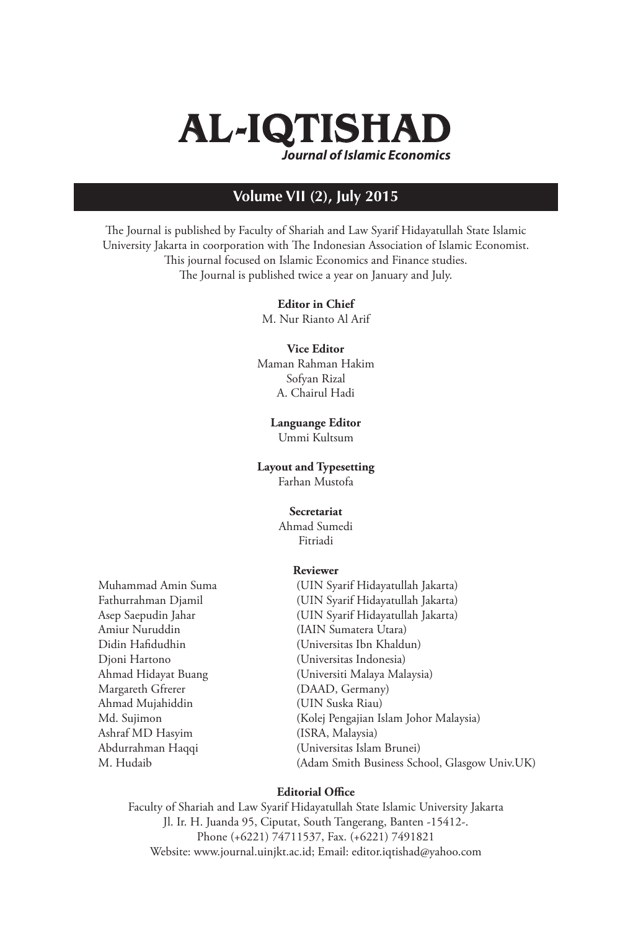

# **Volume VII (2), July 2015**

The Journal is published by Faculty of Shariah and Law Syarif Hidayatullah State Islamic University Jakarta in coorporation with The Indonesian Association of Islamic Economist. This journal focused on Islamic Economics and Finance studies. The Journal is published twice a year on January and July.

### **Editor in Chief**

M. Nur Rianto Al Arif

### **Vice Editor** Maman Rahman Hakim Sofyan Rizal A. Chairul Hadi

# **Languange Editor**

Ummi Kultsum

## **Layout and Typesetting**

Farhan Mustofa

### **Secretariat**

Ahmad Sumedi Fitriadi

### **Reviewer**

Amiur Nuruddin (IAIN Sumatera Utara) Djoni Hartono (Universitas Indonesia) Margareth Gfrerer (DAAD, Germany) Ahmad Mujahiddin (UIN Suska Riau) Ashraf MD Hasyim (ISRA, Malaysia)

Muhammad Amin Suma (UIN Syarif Hidayatullah Jakarta) Fathurrahman Djamil (UIN Syarif Hidayatullah Jakarta) Asep Saepudin Jahar (UIN Syarif Hidayatullah Jakarta) (Universitas Ibn Khaldun) Ahmad Hidayat Buang (Universiti Malaya Malaysia) Md. Sujimon (Kolej Pengajian Islam Johor Malaysia) Abdurrahman Haqqi (Universitas Islam Brunei) M. Hudaib (Adam Smith Business School, Glasgow Univ.UK)

### **Editorial Office**

Faculty of Shariah and Law Syarif Hidayatullah State Islamic University Jakarta Jl. Ir. H. Juanda 95, Ciputat, South Tangerang, Banten -15412-. Phone (+6221) 74711537, Fax. (+6221) 7491821 Website: www.journal.uinjkt.ac.id; Email: editor.iqtishad@yahoo.com